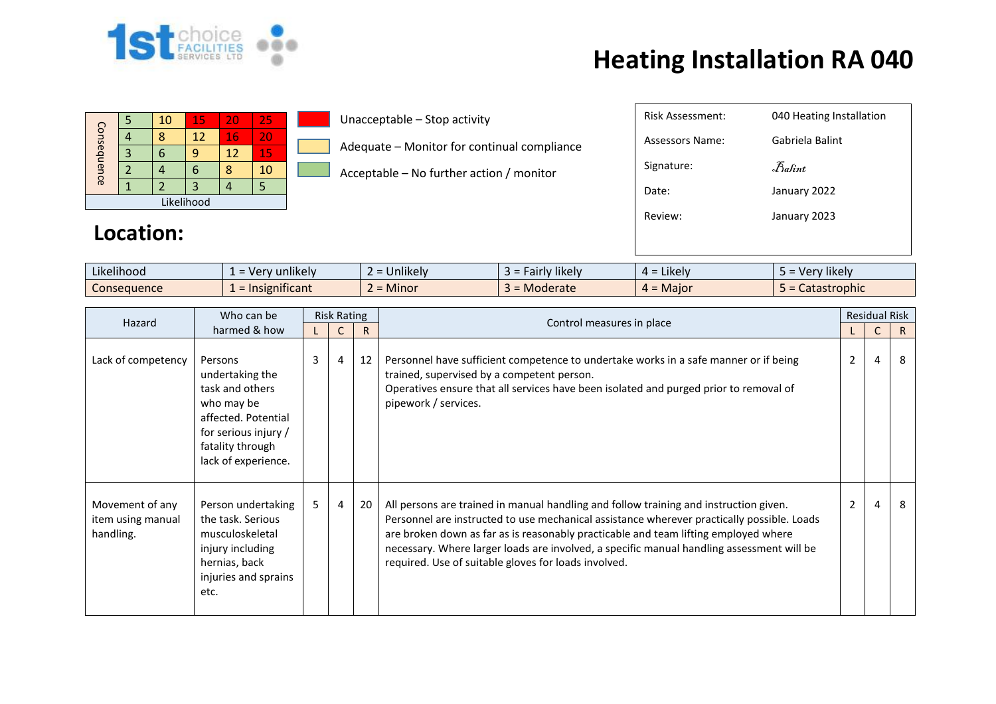

| Consequence |  | 10 | 15 | 20 | 25 |  |  |  |  |  |
|-------------|--|----|----|----|----|--|--|--|--|--|
|             |  |    | 12 | 16 | 20 |  |  |  |  |  |
|             |  |    | q  | 12 | 15 |  |  |  |  |  |
|             |  |    | n  |    | 10 |  |  |  |  |  |
|             |  |    | 3  |    |    |  |  |  |  |  |
| Likelihood  |  |    |    |    |    |  |  |  |  |  |

**Location:**

Unacceptable – Stop activity

Adequate – Monitor for continual compliance

Acceptable – No further action / monitor

| <b>Risk Assessment:</b> | 040 Heating Installation                         |
|-------------------------|--------------------------------------------------|
| Assessors Name:         | Gabriela Balint                                  |
| Signature:              | $\mathcal{F}_{\mathit{a}\mathit{f}\mathit{int}}$ |
| Date:                   | January 2022                                     |
| Review:                 | January 2023                                     |
|                         |                                                  |

| $\cdots$<br>$\cdots$<br>Likelihood | $\cdots$<br>unlikelv<br><b>Me</b><br>-<br>$\overline{\phantom{0}}$ | $\cdots$<br>∽<br><b>Jnlikely</b> | $\cdots$<br><b>likelv</b><br>au | Likely<br>∸ ∸ | $\cdots$<br>' likely<br>$\mathbf{v}$ |
|------------------------------------|--------------------------------------------------------------------|----------------------------------|---------------------------------|---------------|--------------------------------------|
| Consequence                        | $\cdot$ $\cdot$<br><br>agrificant.<br>-                            | ∽<br><b>Minor</b>                | Moderate                        | Maior         | <b>TODNIC</b>                        |

| Hazard                                            | Who can be                                                                                                                                            | <b>Risk Rating</b> |                |    | Control measures in place                                                                                                                                                                                                                                                                                                                                                                                                       | <b>Residual Risk</b> |   |    |
|---------------------------------------------------|-------------------------------------------------------------------------------------------------------------------------------------------------------|--------------------|----------------|----|---------------------------------------------------------------------------------------------------------------------------------------------------------------------------------------------------------------------------------------------------------------------------------------------------------------------------------------------------------------------------------------------------------------------------------|----------------------|---|----|
|                                                   | harmed & how                                                                                                                                          |                    |                | R  |                                                                                                                                                                                                                                                                                                                                                                                                                                 |                      | C | R. |
| Lack of competency                                | Persons<br>undertaking the<br>task and others<br>who may be<br>affected. Potential<br>for serious injury /<br>fatality through<br>lack of experience. | 3                  | 4              | 12 | Personnel have sufficient competence to undertake works in a safe manner or if being<br>trained, supervised by a competent person.<br>Operatives ensure that all services have been isolated and purged prior to removal of<br>pipework / services.                                                                                                                                                                             | 2                    | 4 | 8  |
| Movement of any<br>item using manual<br>handling. | Person undertaking<br>the task. Serious<br>musculoskeletal<br>injury including<br>hernias, back<br>injuries and sprains<br>etc.                       | 5                  | $\overline{4}$ | 20 | All persons are trained in manual handling and follow training and instruction given.<br>Personnel are instructed to use mechanical assistance wherever practically possible. Loads<br>are broken down as far as is reasonably practicable and team lifting employed where<br>necessary. Where larger loads are involved, a specific manual handling assessment will be<br>required. Use of suitable gloves for loads involved. | $\overline{2}$       | 4 | 8  |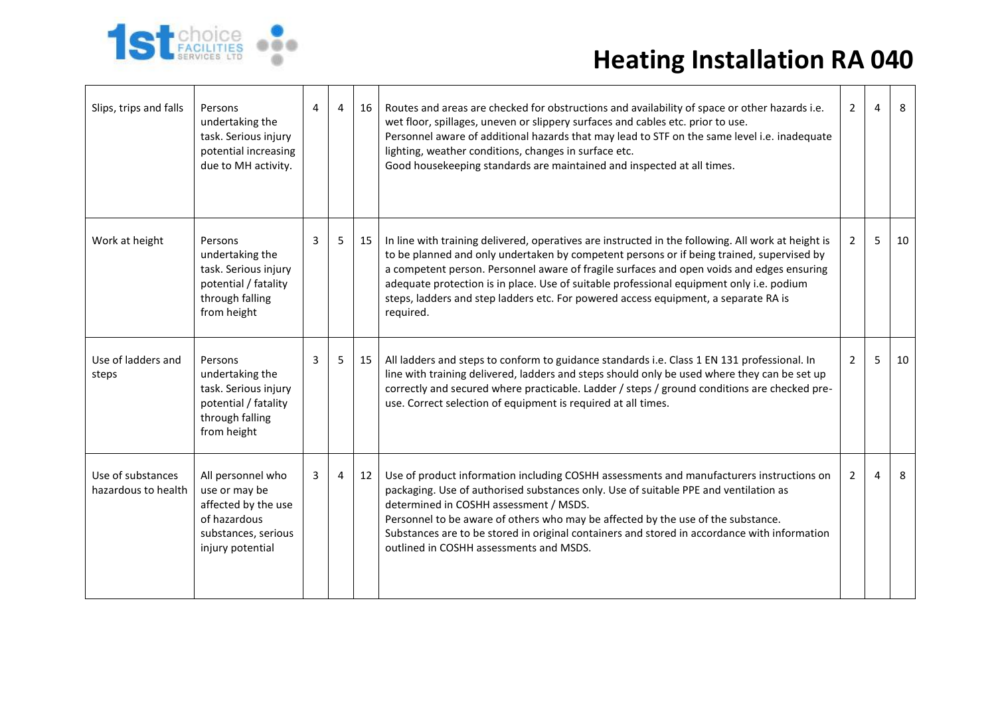

| Slips, trips and falls                   | Persons<br>undertaking the<br>task. Serious injury<br>potential increasing<br>due to MH activity.                    | 4 | 4  | 16 | Routes and areas are checked for obstructions and availability of space or other hazards i.e.<br>wet floor, spillages, uneven or slippery surfaces and cables etc. prior to use.<br>Personnel aware of additional hazards that may lead to STF on the same level i.e. inadequate<br>lighting, weather conditions, changes in surface etc.<br>Good housekeeping standards are maintained and inspected at all times.                                                                          | $\overline{2}$ | 4 | 8  |
|------------------------------------------|----------------------------------------------------------------------------------------------------------------------|---|----|----|----------------------------------------------------------------------------------------------------------------------------------------------------------------------------------------------------------------------------------------------------------------------------------------------------------------------------------------------------------------------------------------------------------------------------------------------------------------------------------------------|----------------|---|----|
| Work at height                           | Persons<br>undertaking the<br>task. Serious injury<br>potential / fatality<br>through falling<br>from height         | 3 | 5. | 15 | In line with training delivered, operatives are instructed in the following. All work at height is<br>to be planned and only undertaken by competent persons or if being trained, supervised by<br>a competent person. Personnel aware of fragile surfaces and open voids and edges ensuring<br>adequate protection is in place. Use of suitable professional equipment only i.e. podium<br>steps, ladders and step ladders etc. For powered access equipment, a separate RA is<br>required. | 2              | 5 | 10 |
| Use of ladders and<br>steps              | Persons<br>undertaking the<br>task. Serious injury<br>potential / fatality<br>through falling<br>from height         | 3 | 5  | 15 | All ladders and steps to conform to guidance standards i.e. Class 1 EN 131 professional. In<br>line with training delivered, ladders and steps should only be used where they can be set up<br>correctly and secured where practicable. Ladder / steps / ground conditions are checked pre-<br>use. Correct selection of equipment is required at all times.                                                                                                                                 | $\overline{2}$ | 5 | 10 |
| Use of substances<br>hazardous to health | All personnel who<br>use or may be<br>affected by the use<br>of hazardous<br>substances, serious<br>injury potential | 3 | 4  | 12 | Use of product information including COSHH assessments and manufacturers instructions on<br>packaging. Use of authorised substances only. Use of suitable PPE and ventilation as<br>determined in COSHH assessment / MSDS.<br>Personnel to be aware of others who may be affected by the use of the substance.<br>Substances are to be stored in original containers and stored in accordance with information<br>outlined in COSHH assessments and MSDS.                                    | 2              | 4 | 8  |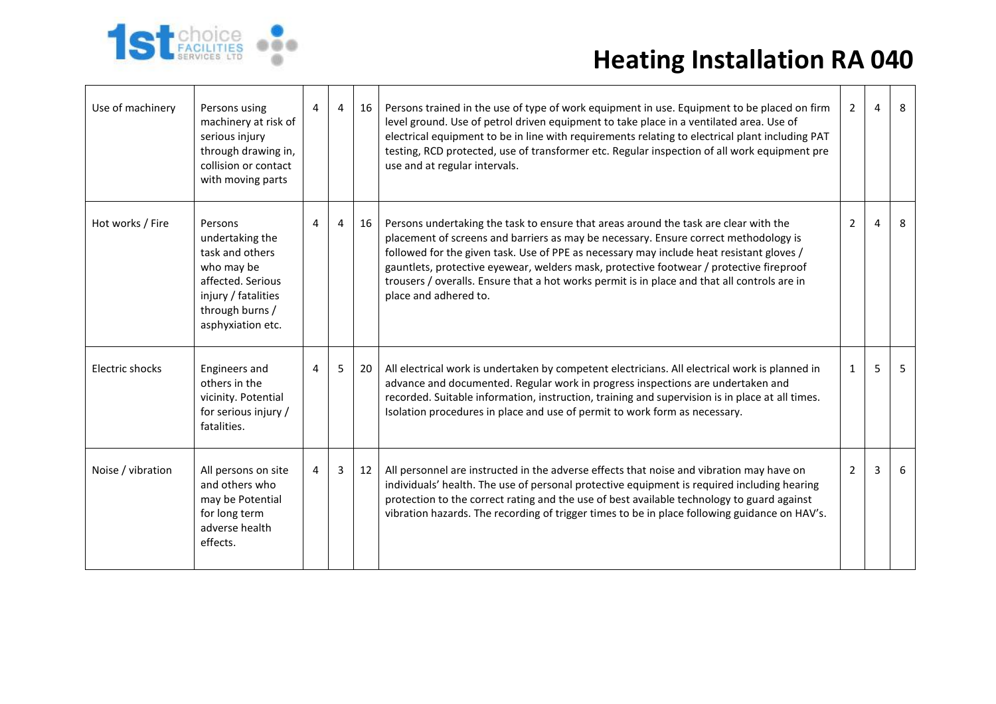

| Use of machinery  | Persons using<br>machinery at risk of<br>serious injury<br>through drawing in,<br>collision or contact<br>with moving parts                     | 4 | $\overline{4}$ | 16 | Persons trained in the use of type of work equipment in use. Equipment to be placed on firm<br>level ground. Use of petrol driven equipment to take place in a ventilated area. Use of<br>electrical equipment to be in line with requirements relating to electrical plant including PAT<br>testing, RCD protected, use of transformer etc. Regular inspection of all work equipment pre<br>use and at regular intervals.                                                                   | $\overline{2}$ | 4 | 8 |
|-------------------|-------------------------------------------------------------------------------------------------------------------------------------------------|---|----------------|----|----------------------------------------------------------------------------------------------------------------------------------------------------------------------------------------------------------------------------------------------------------------------------------------------------------------------------------------------------------------------------------------------------------------------------------------------------------------------------------------------|----------------|---|---|
| Hot works / Fire  | Persons<br>undertaking the<br>task and others<br>who may be<br>affected. Serious<br>injury / fatalities<br>through burns /<br>asphyxiation etc. | 4 | 4              | 16 | Persons undertaking the task to ensure that areas around the task are clear with the<br>placement of screens and barriers as may be necessary. Ensure correct methodology is<br>followed for the given task. Use of PPE as necessary may include heat resistant gloves /<br>gauntlets, protective eyewear, welders mask, protective footwear / protective fireproof<br>trousers / overalls. Ensure that a hot works permit is in place and that all controls are in<br>place and adhered to. | $\overline{2}$ | 4 | 8 |
| Electric shocks   | Engineers and<br>others in the<br>vicinity. Potential<br>for serious injury /<br>fatalities.                                                    | 4 | 5              | 20 | All electrical work is undertaken by competent electricians. All electrical work is planned in<br>advance and documented. Regular work in progress inspections are undertaken and<br>recorded. Suitable information, instruction, training and supervision is in place at all times.<br>Isolation procedures in place and use of permit to work form as necessary.                                                                                                                           | $\mathbf{1}$   | 5 | 5 |
| Noise / vibration | All persons on site<br>and others who<br>may be Potential<br>for long term<br>adverse health<br>effects.                                        | 4 | 3              | 12 | All personnel are instructed in the adverse effects that noise and vibration may have on<br>individuals' health. The use of personal protective equipment is required including hearing<br>protection to the correct rating and the use of best available technology to guard against<br>vibration hazards. The recording of trigger times to be in place following guidance on HAV's.                                                                                                       | $2^{\circ}$    | 3 | 6 |